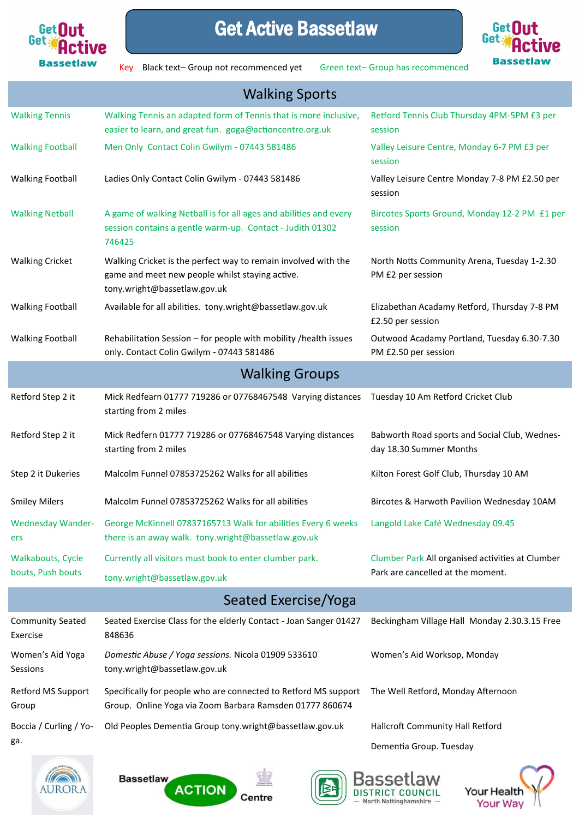

## Get Active Bassetlaw



Key Black text- Group not recommenced yet Green text- Group has recommenced

| <b>Walking Sports</b>               |                                                                                                                                                                          |                                                                          |  |
|-------------------------------------|--------------------------------------------------------------------------------------------------------------------------------------------------------------------------|--------------------------------------------------------------------------|--|
| <b>Walking Tennis</b>               | Walking Tennis an adapted form of Tennis that is more inclusive,<br>easier to learn, and great fun. goga@actioncentre.org.uk                                             | Retford Tennis Club Thursday 4PM-5PM £3 per<br>session                   |  |
| <b>Walking Football</b>             | Men Only Contact Colin Gwilym - 07443 581486                                                                                                                             | Valley Leisure Centre, Monday 6-7 PM £3 per<br>session                   |  |
| <b>Walking Football</b>             | Ladies Only Contact Colin Gwilym - 07443 581486                                                                                                                          | Valley Leisure Centre Monday 7-8 PM £2.50 per<br>session                 |  |
| <b>Walking Netball</b>              | A game of walking Netball is for all ages and abilities and every<br>session contains a gentle warm-up. Contact - Judith 01302<br>746425                                 | Bircotes Sports Ground, Monday 12-2 PM £1 per<br>session                 |  |
| <b>Walking Cricket</b>              | Walking Cricket is the perfect way to remain involved with the<br>game and meet new people whilst staying active.<br>tony.wright@bassetlaw.gov.uk                        | North Notts Community Arena, Tuesday 1-2.30<br>PM £2 per session         |  |
| <b>Walking Football</b>             | Available for all abilities. tony.wright@bassetlaw.gov.uk                                                                                                                | Elizabethan Acadamy Retford, Thursday 7-8 PM<br>£2.50 per session        |  |
| <b>Walking Football</b>             | Rehabilitation Session - for people with mobility / health issues<br>only. Contact Colin Gwilym - 07443 581486                                                           | Outwood Acadamy Portland, Tuesday 6.30-7.30<br>PM £2.50 per session      |  |
| <b>Walking Groups</b>               |                                                                                                                                                                          |                                                                          |  |
| Retford Step 2 it                   | Mick Redfearn 01777 719286 or 07768467548 Varying distances<br>starting from 2 miles                                                                                     | Tuesday 10 Am Retford Cricket Club                                       |  |
| Retford Step 2 it                   | Mick Redfern 01777 719286 or 07768467548 Varying distances<br>starting from 2 miles                                                                                      | Babworth Road sports and Social Club, Wednes-<br>day 18.30 Summer Months |  |
| Step 2 it Dukeries                  | Malcolm Funnel 07853725262 Walks for all abilities                                                                                                                       | Kilton Forest Golf Club, Thursday 10 AM                                  |  |
| <b>Smiley Milers</b>                | Malcolm Funnel 07853725262 Walks for all abilities                                                                                                                       | Bircotes & Harwoth Pavilion Wednesday 10AM                               |  |
| ers                                 | Wednesday Wander- George McKinnell 07837165713 Walk for abilities Every 6 weeks Langold Lake Café Wednesday 09.45<br>there is an away walk. tony.wright@bassetlaw.gov.uk |                                                                          |  |
| <b>Walkabouts, Cycle</b>            | Currently all visitors must book to enter clumber park.                                                                                                                  | Clumber Park All organised activities at Clumber                         |  |
| bouts, Push bouts                   | tony.wright@bassetlaw.gov.uk                                                                                                                                             | Park are cancelled at the moment.                                        |  |
| Seated Exercise/Yoga                |                                                                                                                                                                          |                                                                          |  |
| <b>Community Seated</b><br>Exercise | Seated Exercise Class for the elderly Contact - Joan Sanger 01427<br>848636                                                                                              | Beckingham Village Hall Monday 2.30.3.15 Free                            |  |
| Women's Aid Yoga<br>Sessions        | Domestic Abuse / Yoga sessions. Nicola 01909 533610<br>tony.wright@bassetlaw.gov.uk                                                                                      | Women's Aid Worksop, Monday                                              |  |
| Retford MS Support<br>Group         | Specifically for people who are connected to Retford MS support<br>Group. Online Yoga via Zoom Barbara Ramsden 01777 860674                                              | The Well Retford, Monday Afternoon                                       |  |
| Boccia / Curling / Yo-              | Old Peoples Dementia Group tony.wright@bassetlaw.gov.uk                                                                                                                  | Hallcroft Community Hall Retford                                         |  |
| ga.                                 |                                                                                                                                                                          | Dementia Group. Tuesday                                                  |  |